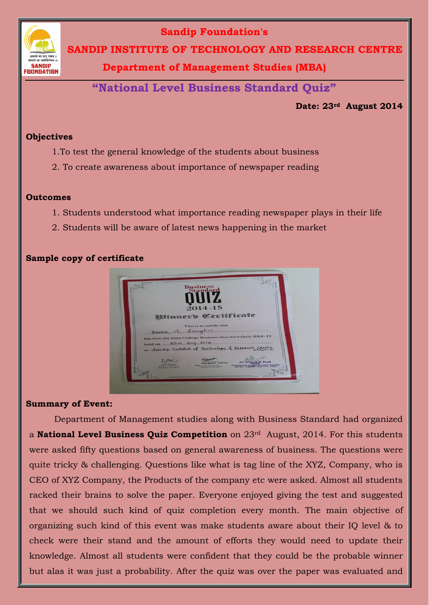

# **Sandip Foundation's**

## **SANDIP INSTITUTE OF TECHNOLOGY AND RESEARCH CENTRE**

**Department of Management Studies (MBA)**

# **"National Level Business Standard Quiz"**

**Date: 23rd August 2014**

#### **Objectives**

- 1.To test the general knowledge of the students about business
- 2. To create awareness about importance of newspaper reading

#### **Outcomes**

- 1. Students understood what importance reading newspaper plays in their life
- 2. Students will be aware of latest news happening in the market

## **Sample copy of certificate**



### **Summary of Event:**

Department of Management studies along with Business Standard had organized a **National Level Business Quiz Competition** on 23rd August, 2014. For this students were asked fifty questions based on general awareness of business. The questions were quite tricky & challenging. Questions like what is tag line of the XYZ, Company, who is CEO of XYZ Company, the Products of the company etc were asked. Almost all students racked their brains to solve the paper. Everyone enjoyed giving the test and suggested that we should such kind of quiz completion every month. The main objective of organizing such kind of this event was make students aware about their IQ level & to check were their stand and the amount of efforts they would need to update their knowledge. Almost all students were confident that they could be the probable winner but alas it was just a probability. After the quiz was over the paper was evaluated and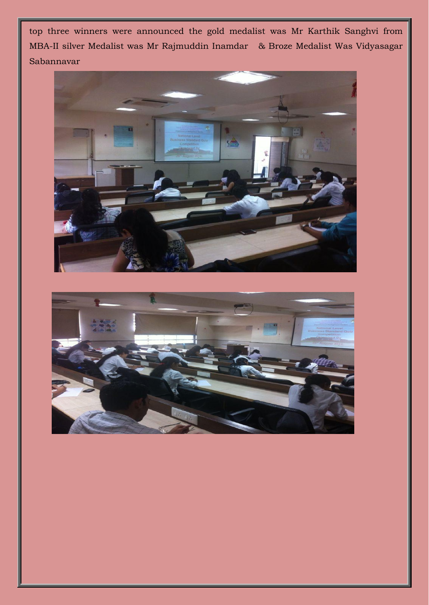top three winners were announced the gold medalist was Mr Karthik Sanghvi from MBA-II silver Medalist was Mr Rajmuddin Inamdar & Broze Medalist Was Vidyasagar Sabannavar